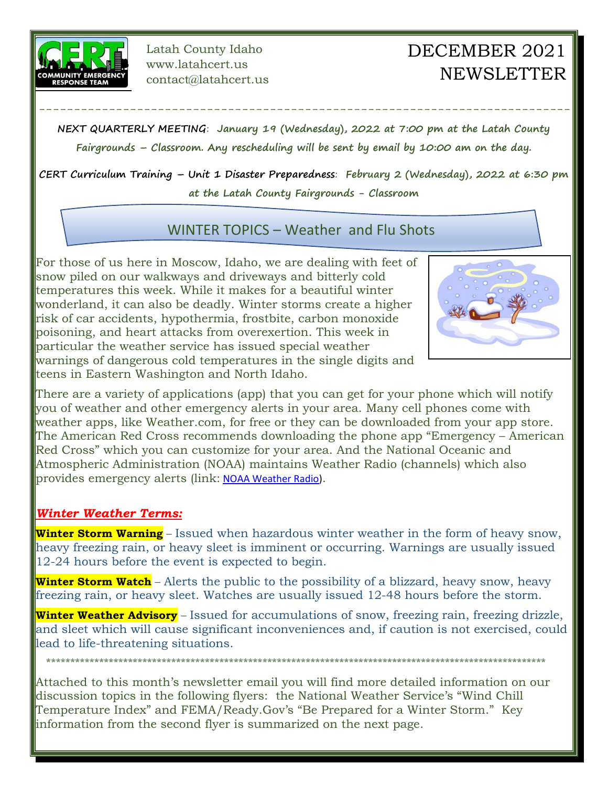

Latah County Idaho www.latahcert.us contact@latahcert.us

## DECEMBER 2021 **NEWSLETTER**

**NEXT QUARTERLY MEETING**: **January 19 (Wednesday), 2022 at 7:00 pm at the Latah County Fairgrounds – Classroom. Any rescheduling will be sent by email by 10:00 am on the day.** 

----------------------------------------------------------------------------

**CERT Curriculum Training – Unit 1 Disaster Preparedness**: **February 2 (Wednesday), 2022 at 6:30 pm at the Latah County Fairgrounds - Classroom**

WINTER TOPICS – Weather and Flu Shots

For those of us here in Moscow, Idaho, we are dealing with feet of snow piled on our walkways and driveways and bitterly cold temperatures this week. While it makes for a beautiful winter wonderland, it can also be deadly. Winter storms create a higher risk of car accidents, hypothermia, frostbite, carbon monoxide poisoning, and heart attacks from overexertion. This week in particular the weather service has issued special weather warnings of dangerous cold temperatures in the single digits and teens in Eastern Washington and North Idaho.



There are a variety of applications (app) that you can get for your phone which will notify you of weather and other emergency alerts in your area. Many cell phones come with weather apps, like Weather.com, for free or they can be downloaded from your app store. The American Red Cross recommends downloading the phone app "Emergency – American Red Cross" which you can customize for your area. And the National Oceanic and Atmospheric Administration (NOAA) maintains Weather Radio (channels) which also provides emergency alerts (link: [NOAA Weather Radio\)](https://www.weather.gov/nwr/).

## *Winter Weather Terms:*

**Winter Storm Warning** – Issued when hazardous winter weather in the form of heavy snow, heavy freezing rain, or heavy sleet is imminent or occurring. Warnings are usually issued 12-24 hours before the event is expected to begin.

**Winter Storm Watch** – Alerts the public to the possibility of a blizzard, heavy snow, heavy freezing rain, or heavy sleet. Watches are usually issued 12-48 hours before the storm.

**Winter Weather Advisory** – Issued for accumulations of snow, freezing rain, freezing drizzle, and sleet which will cause significant inconveniences and, if caution is not exercised, could lead to life-threatening situations.

Attached to this month's newsletter email you will find more detailed information on our discussion topics in the following flyers: the National Weather Service's "Wind Chill Temperature Index" and FEMA/Ready.Gov's "Be Prepared for a Winter Storm." Key information from the second flyer is summarized on the next page.

\*\*\*\*\*\*\*\*\*\*\*\*\*\*\*\*\*\*\*\*\*\*\*\*\*\*\*\*\*\*\*\*\*\*\*\*\*\*\*\*\*\*\*\*\*\*\*\*\*\*\*\*\*\*\*\*\*\*\*\*\*\*\*\*\*\*\*\*\*\*\*\*\*\*\*\*\*\*\*\*\*\*\*\*\*\*\*\*\*\*\*\*\*\*\*\*\*\*\*\*\*\*\*\*